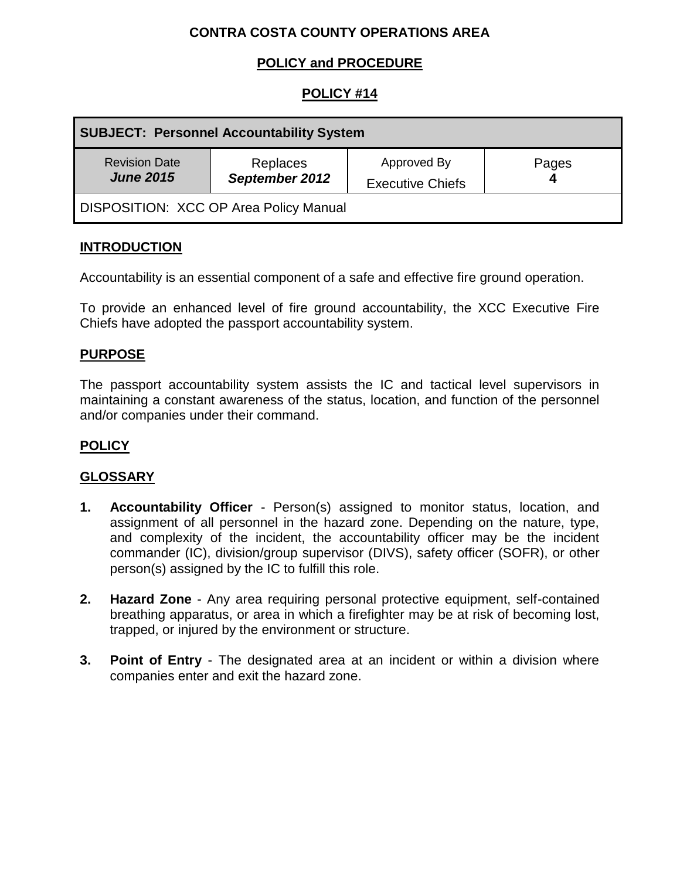# **CONTRA COSTA COUNTY OPERATIONS AREA**

# **POLICY and PROCEDURE**

## **POLICY #14**

| <b>SUBJECT: Personnel Accountability System</b> |                            |                                        |       |
|-------------------------------------------------|----------------------------|----------------------------------------|-------|
| <b>Revision Date</b><br><b>June 2015</b>        | Replaces<br>September 2012 | Approved By<br><b>Executive Chiefs</b> | Pages |
| <b>DISPOSITION: XCC OP Area Policy Manual</b>   |                            |                                        |       |

#### **INTRODUCTION**

Accountability is an essential component of a safe and effective fire ground operation.

To provide an enhanced level of fire ground accountability, the XCC Executive Fire Chiefs have adopted the passport accountability system.

### **PURPOSE**

The passport accountability system assists the IC and tactical level supervisors in maintaining a constant awareness of the status, location, and function of the personnel and/or companies under their command.

### **POLICY**

#### **GLOSSARY**

- **1. Accountability Officer** Person(s) assigned to monitor status, location, and assignment of all personnel in the hazard zone. Depending on the nature, type, and complexity of the incident, the accountability officer may be the incident commander (IC), division/group supervisor (DIVS), safety officer (SOFR), or other person(s) assigned by the IC to fulfill this role.
- **2. Hazard Zone** Any area requiring personal protective equipment, self-contained breathing apparatus, or area in which a firefighter may be at risk of becoming lost, trapped, or injured by the environment or structure.
- **3. Point of Entry** The designated area at an incident or within a division where companies enter and exit the hazard zone.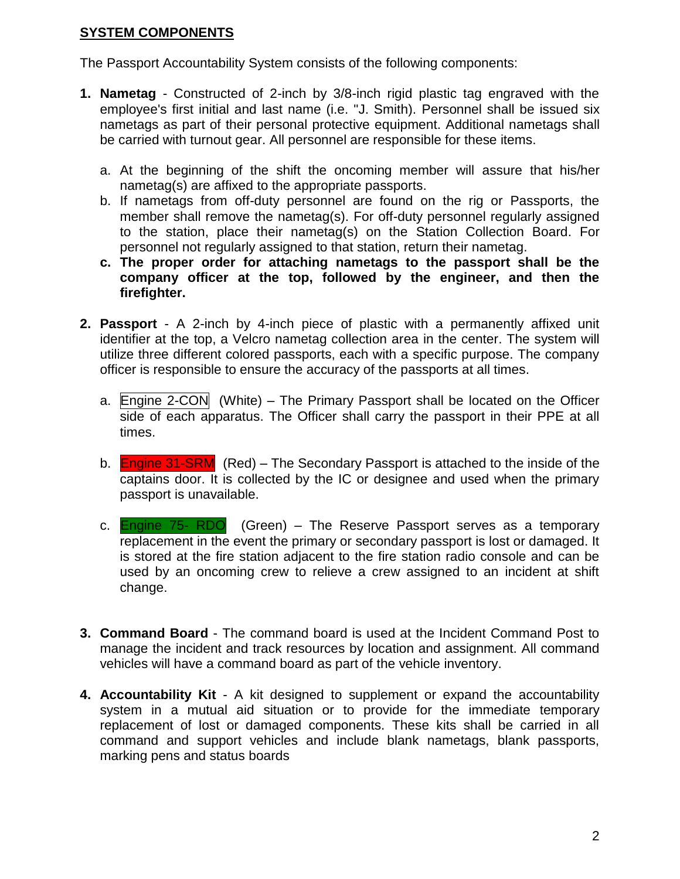### **SYSTEM COMPONENTS**

The Passport Accountability System consists of the following components:

- **1. Nametag** Constructed of 2-inch by 3/8-inch rigid plastic tag engraved with the employee's first initial and last name (i.e. "J. Smith). Personnel shall be issued six nametags as part of their personal protective equipment. Additional nametags shall be carried with turnout gear. All personnel are responsible for these items.
	- a. At the beginning of the shift the oncoming member will assure that his/her nametag(s) are affixed to the appropriate passports.
	- b. If nametags from off-duty personnel are found on the rig or Passports, the member shall remove the nametag(s). For off-duty personnel regularly assigned to the station, place their nametag(s) on the Station Collection Board. For personnel not regularly assigned to that station, return their nametag.
	- **c. The proper order for attaching nametags to the passport shall be the company officer at the top, followed by the engineer, and then the firefighter.**
- **2. Passport** A 2-inch by 4-inch piece of plastic with a permanently affixed unit identifier at the top, a Velcro nametag collection area in the center. The system will utilize three different colored passports, each with a specific purpose. The company officer is responsible to ensure the accuracy of the passports at all times.
	- a. Engine 2-CON (White) The Primary Passport shall be located on the Officer side of each apparatus. The Officer shall carry the passport in their PPE at all times.
	- b. **Engine 31-SRM** (Red) The Secondary Passport is attached to the inside of the captains door. It is collected by the IC or designee and used when the primary passport is unavailable.
	- c. **Engine 75- RDO** (Green) The Reserve Passport serves as a temporary replacement in the event the primary or secondary passport is lost or damaged. It is stored at the fire station adjacent to the fire station radio console and can be used by an oncoming crew to relieve a crew assigned to an incident at shift change.
- **3. Command Board** The command board is used at the Incident Command Post to manage the incident and track resources by location and assignment. All command vehicles will have a command board as part of the vehicle inventory.
- **4. Accountability Kit** A kit designed to supplement or expand the accountability system in a mutual aid situation or to provide for the immediate temporary replacement of lost or damaged components. These kits shall be carried in all command and support vehicles and include blank nametags, blank passports, marking pens and status boards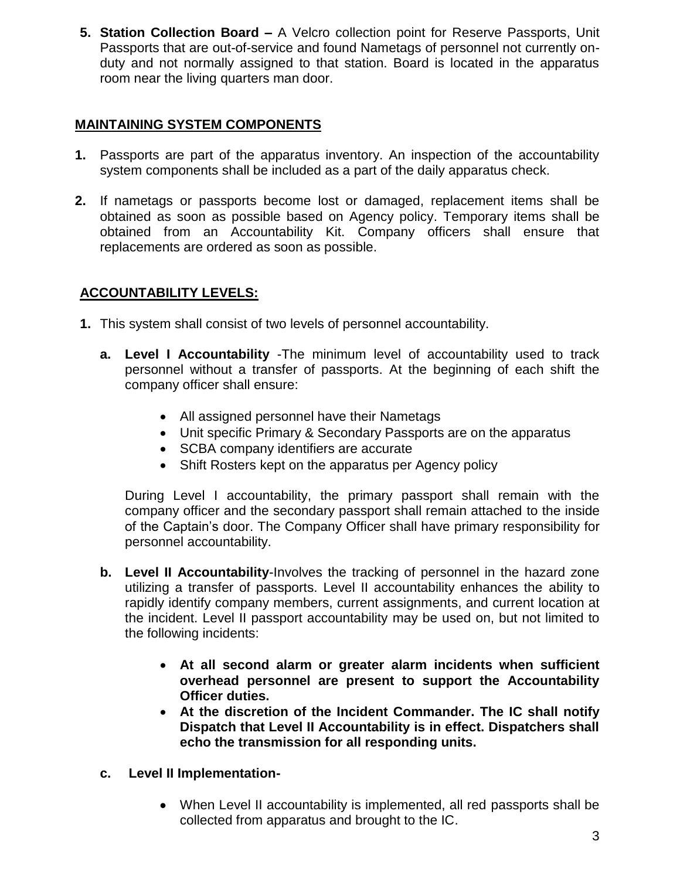**5. Station Collection Board –** A Velcro collection point for Reserve Passports, Unit Passports that are out-of-service and found Nametags of personnel not currently onduty and not normally assigned to that station. Board is located in the apparatus room near the living quarters man door.

## **MAINTAINING SYSTEM COMPONENTS**

- **1.** Passports are part of the apparatus inventory. An inspection of the accountability system components shall be included as a part of the daily apparatus check.
- **2.** If nametags or passports become lost or damaged, replacement items shall be obtained as soon as possible based on Agency policy. Temporary items shall be obtained from an Accountability Kit. Company officers shall ensure that replacements are ordered as soon as possible.

# **ACCOUNTABILITY LEVELS:**

- **1.** This system shall consist of two levels of personnel accountability.
	- **a. Level I Accountability** -The minimum level of accountability used to track personnel without a transfer of passports. At the beginning of each shift the company officer shall ensure:
		- All assigned personnel have their Nametags
		- Unit specific Primary & Secondary Passports are on the apparatus
		- SCBA company identifiers are accurate
		- Shift Rosters kept on the apparatus per Agency policy

During Level I accountability, the primary passport shall remain with the company officer and the secondary passport shall remain attached to the inside of the Captain's door. The Company Officer shall have primary responsibility for personnel accountability.

- **b. Level II Accountability**-Involves the tracking of personnel in the hazard zone utilizing a transfer of passports. Level II accountability enhances the ability to rapidly identify company members, current assignments, and current location at the incident. Level II passport accountability may be used on, but not limited to the following incidents:
	- **At all second alarm or greater alarm incidents when sufficient overhead personnel are present to support the Accountability Officer duties.**
	- **At the discretion of the Incident Commander. The IC shall notify Dispatch that Level II Accountability is in effect. Dispatchers shall echo the transmission for all responding units.**
- **c. Level II Implementation-**
	- When Level II accountability is implemented, all red passports shall be collected from apparatus and brought to the IC.